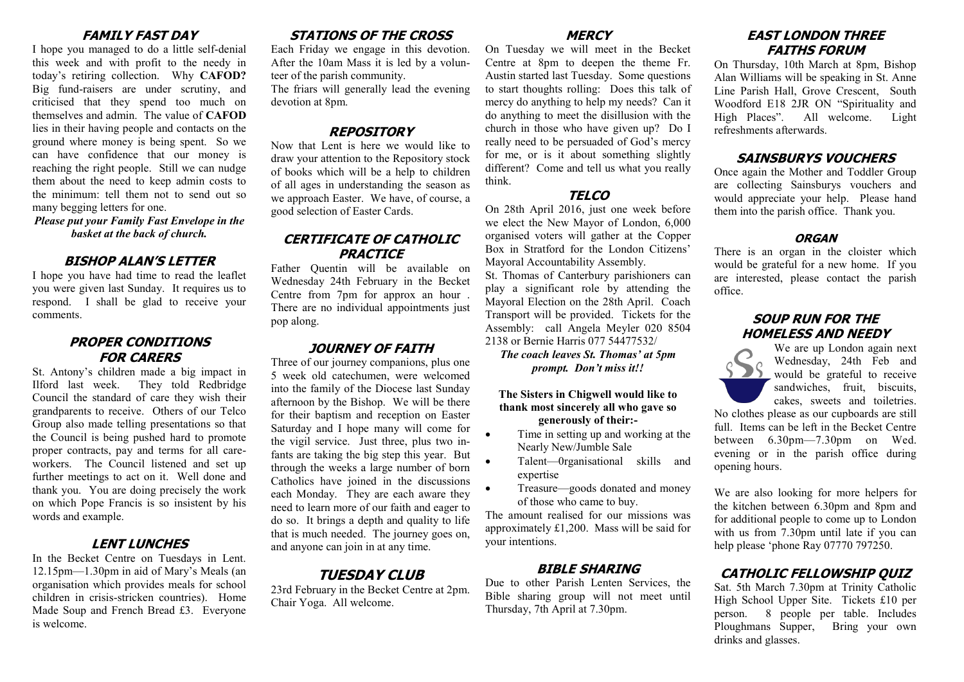## **FAMILY FAST DAY**

I hope you managed to do a little self-denial this week and with profit to the needy in today's retiring collection. Why **CAFOD?**  Big fund-raisers are under scrutiny, and criticised that they spend too much on themselves and admin. The value of **CAFOD**  lies in their having people and contacts on the ground where money is being spent. So we can have confidence that our money is reaching the right people. Still we can nudge them about the need to keep admin costs to the minimum: tell them not to send out so many begging letters for one.

*Please put your Family Fast Envelope in the basket at the back of church.*

#### **BISHOP ALAN'S LETTER**

I hope you have had time to read the leaflet you were given last Sunday. It requires us to respond. I shall be glad to receive your comments.

#### **PROPER CONDITIONS FOR CARERS**

St. Antony's children made a big impact in Ilford last week. They told Redbridge Council the standard of care they wish their grandparents to receive. Others of our Telco Group also made telling presentations so that the Council is being pushed hard to promote proper contracts, pay and terms for all careworkers. The Council listened and set up further meetings to act on it. Well done and thank you. You are doing precisely the work on which Pope Francis is so insistent by his words and example.

## **LENT LUNCHES**

In the Becket Centre on Tuesdays in Lent. 12.15pm—1.30pm in aid of Mary's Meals (an organisation which provides meals for school children in crisis-stricken countries). Home Made Soup and French Bread £3. Everyone is welcome.

# **STATIONS OF THE CROSS**

Each Friday we engage in this devotion. After the 10am Mass it is led by a volunteer of the parish community.

The friars will generally lead the evening devotion at 8pm.

## **REPOSITORY**

Now that Lent is here we would like to draw your attention to the Repository stock of books which will be a help to children of all ages in understanding the season as we approach Easter. We have, of course, a good selection of Easter Cards.

#### **CERTIFICATE OF CATHOLIC PRACTICE**

Father Quentin will be available on Wednesday 24th February in the Becket Centre from 7pm for approx an hour . There are no individual appointments just pop along.

## **JOURNEY OF FAITH**

Three of our journey companions, plus one 5 week old catechumen, were welcomed into the family of the Diocese last Sunday afternoon by the Bishop. We will be there for their baptism and reception on Easter Saturday and I hope many will come for the vigil service. Just three, plus two infants are taking the big step this year. But through the weeks a large number of born Catholics have joined in the discussions each Monday. They are each aware they need to learn more of our faith and eager to do so. It brings a depth and quality to life that is much needed. The journey goes on, and anyone can join in at any time.

# **TUESDAY CLUB**

23rd February in the Becket Centre at 2pm. Chair Yoga. All welcome.

#### **MERCY**

On Tuesday we will meet in the Becket Centre at 8pm to deepen the theme Fr. Austin started last Tuesday. Some questions to start thoughts rolling: Does this talk of mercy do anything to help my needs? Can it do anything to meet the disillusion with the church in those who have given up? Do I really need to be persuaded of God's mercy for me, or is it about something slightly different? Come and tell us what you really think.

# **TELCO**

On 28th April 2016, just one week before we elect the New Mayor of London, 6,000 organised voters will gather at the Copper Box in Stratford for the London Citizens' Mayoral Accountability Assembly.

St. Thomas of Canterbury parishioners can play a significant role by attending the Mayoral Election on the 28th April. Coach Transport will be provided. Tickets for the Assembly: call Angela Meyler 020 8504 2138 or Bernie Harris 077 54477532/

*The coach leaves St. Thomas' at 5pm prompt. Don't miss it!!*

#### **The Sisters in Chigwell would like to thank most sincerely all who gave so generously of their:-**

- Time in setting up and working at the Nearly New/Jumble Sale
- Talent—0rganisational skills and expertise
- Treasure—goods donated and money of those who came to buy.

The amount realised for our missions was approximately £1,200. Mass will be said for your intentions.

#### **BIBLE SHARING**

Due to other Parish Lenten Services, the Bible sharing group will not meet until Thursday, 7th April at 7.30pm.

## **EAST LONDON THREE FAITHS FORUM**

On Thursday, 10th March at 8pm, Bishop Alan Williams will be speaking in St. Anne Line Parish Hall, Grove Crescent, South Woodford E18 2JR ON "Spirituality and High Places". All welcome. Light refreshments afterwards.

## **SAINSBURYS VOUCHERS**

Once again the Mother and Toddler Group are collecting Sainsburys vouchers and would appreciate your help. Please hand them into the parish office. Thank you.

#### **ORGAN**

There is an organ in the cloister which would be grateful for a new home. If you are interested, please contact the parish office.

## **SOUP RUN FOR THE HOMELESS AND NEEDY**



We are up London again next Wednesday, 24th Feb and would be grateful to receive sandwiches, fruit, biscuits, cakes, sweets and toiletries.

No clothes please as our cupboards are still full. Items can be left in the Becket Centre between 6.30pm—7.30pm on Wed. evening or in the parish office during opening hours.

We are also looking for more helpers for the kitchen between 6.30pm and 8pm and for additional people to come up to London with us from 7.30pm until late if you can help please 'phone Ray 07770 797250.

# **CATHOLIC FELLOWSHIP QUIZ**

Sat. 5th March 7.30pm at Trinity Catholic High School Upper Site. Tickets £10 per person. 8 people per table. Includes Ploughmans Supper, Bring your own drinks and glasses.